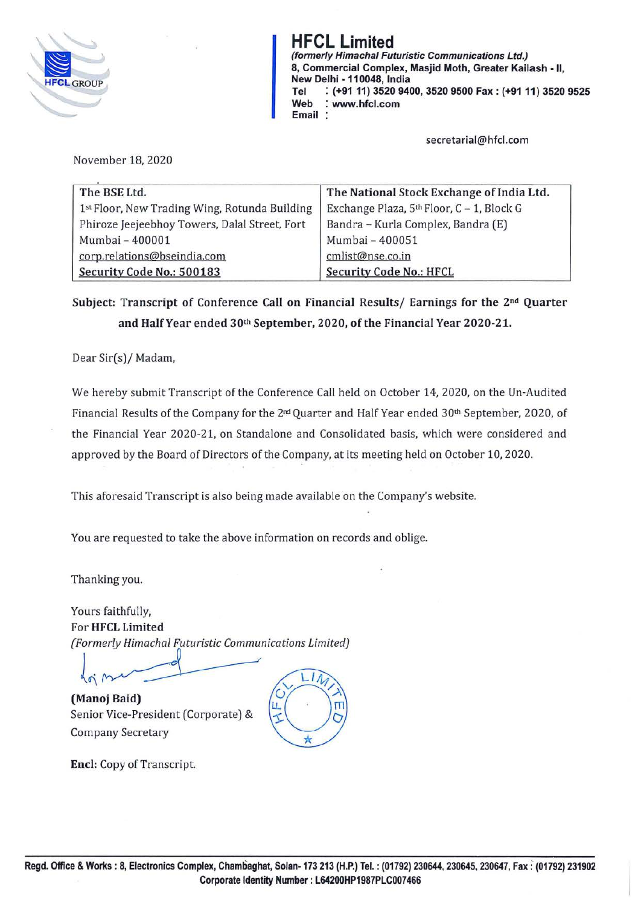

*(formerly Himachal Futuristic Communications Ltd.)* **rif UL Limited**<br>
(formerly Himachal Futuristic Communications Ltd.)<br>
8, Commercial Complex, Masjid Moth, Greater Kail<br>
New Delhi - 110048, India **8, Commercial Complex, Masjid Moth, Greater Kailash** - **11, New Delhi** - **110048, India Tel** : **(+91 11) 3520 9400, 3520 9500 Fax: (+91 11) 3520 9525**  HFCLGROUP<br>Tel : (+91 11) 3520 9<br>Web : www.hfcl.com<br>Email : **Email** :

**secretarial@hfcl.com** 

November 18, 2020

| The BSE Ltd.                                  | The National Stock Exchange of India Ltd.             |
|-----------------------------------------------|-------------------------------------------------------|
| 1st Floor, New Trading Wing, Rotunda Building | Exchange Plaza, 5 <sup>th</sup> Floor, C - 1, Block G |
| Phiroze Jeejeebhoy Towers, Dalal Street, Fort | Bandra - Kurla Complex, Bandra (E)                    |
| Mumbai - 400001                               | Mumbai - 400051                                       |
| corp.relations@bseindia.com                   | cmlist@nse.co.in                                      |
| Security Code No.: 500183                     | <b>Security Code No.: HFCL</b>                        |

**Subject: Transcript of Conference Call on Financial Results/ Earnings for the 2nd Quarter and Half Year ended 30th September, 2020, of the Financial Year 2020-21.** 

Dear Sir(s)/ Madam,

We hereby submit Transcript of the Conference Call held on October 14, 2020, on the Un-Audited Financial Results of the Company for the 2nd Quarter and Half Year ended 30th September, 2020, of the Financial Year 2020-21, on Standalone and Consolidated basis, which were considered and approved by the Board of Directors of the Company, at its meeting held on October 10, 2020.

This aforesaid Transcript is also being made available on the Company's website.

You are requested to take the above information on records and oblige.

Thanking you.

Yours faithfully, For **HFCL Limited**  *(Formerly Himachal Futuristic Communications Limited)* 

 $\sqrt{2}$ **(Manoj Baid)**  Senior Vice-President (Corporate) & Company Secretary



**Encl:** Copy of Transcript.

 $\begin{picture}(100,10) \put(0,0){\line(1,0){10}} \put(10,0){\line(1,0){10}} \put(10,0){\line(1,0){10}} \put(10,0){\line(1,0){10}} \put(10,0){\line(1,0){10}} \put(10,0){\line(1,0){10}} \put(10,0){\line(1,0){10}} \put(10,0){\line(1,0){10}} \put(10,0){\line(1,0){10}} \put(10,0){\line(1,0){10}} \put(10,0){\line(1,0){10}} \put(10,0){\line($ 

\*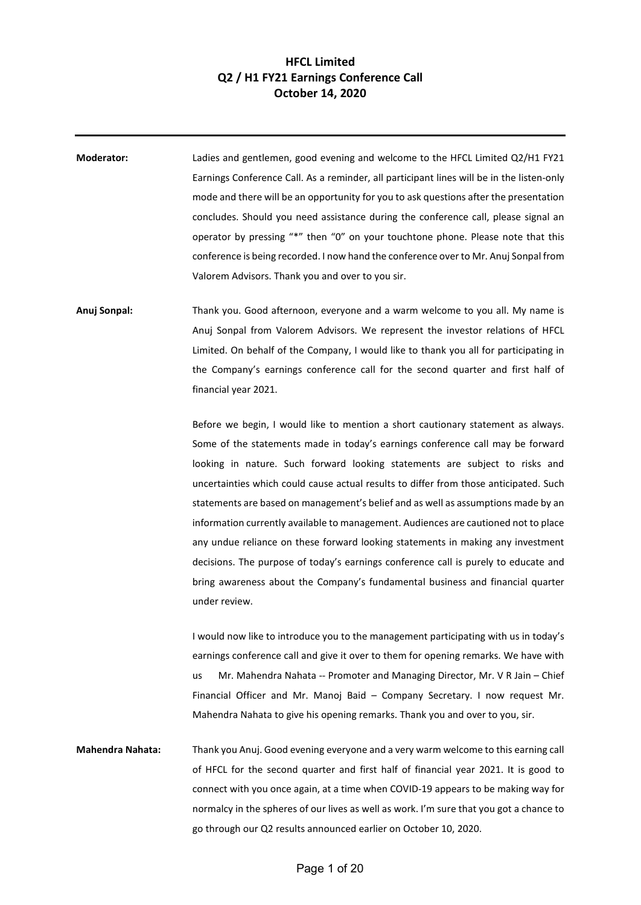## **HFCL Limited Q2 / H1 FY21 Earnings Conference Call October 14, 2020**

**Moderator:** Ladies and gentlemen, good evening and welcome to the HFCL Limited Q2/H1 FY21 Earnings Conference Call. As a reminder, all participant lines will be in the listen-only mode and there will be an opportunity for you to ask questions after the presentation concludes. Should you need assistance during the conference call, please signal an operator by pressing "\*" then "0" on your touchtone phone. Please note that this conference is being recorded. I now hand the conference over to Mr. Anuj Sonpal from Valorem Advisors. Thank you and over to you sir.

**Anuj Sonpal:** Thank you. Good afternoon, everyone and a warm welcome to you all. My name is Anuj Sonpal from Valorem Advisors. We represent the investor relations of HFCL Limited. On behalf of the Company, I would like to thank you all for participating in the Company's earnings conference call for the second quarter and first half of financial year 2021.

> Before we begin, I would like to mention a short cautionary statement as always. Some of the statements made in today's earnings conference call may be forward looking in nature. Such forward looking statements are subject to risks and uncertainties which could cause actual results to differ from those anticipated. Such statements are based on management's belief and as well as assumptions made by an information currently available to management. Audiences are cautioned not to place any undue reliance on these forward looking statements in making any investment decisions. The purpose of today's earnings conference call is purely to educate and bring awareness about the Company's fundamental business and financial quarter under review.

> I would now like to introduce you to the management participating with us in today's earnings conference call and give it over to them for opening remarks. We have with us Mr. Mahendra Nahata -- Promoter and Managing Director, Mr. V R Jain – Chief Financial Officer and Mr. Manoj Baid – Company Secretary. I now request Mr. Mahendra Nahata to give his opening remarks. Thank you and over to you, sir.

**Mahendra Nahata:** Thank you Anuj. Good evening everyone and a very warm welcome to this earning call of HFCL for the second quarter and first half of financial year 2021. It is good to connect with you once again, at a time when COVID-19 appears to be making way for normalcy in the spheres of our lives as well as work. I'm sure that you got a chance to go through our Q2 results announced earlier on October 10, 2020.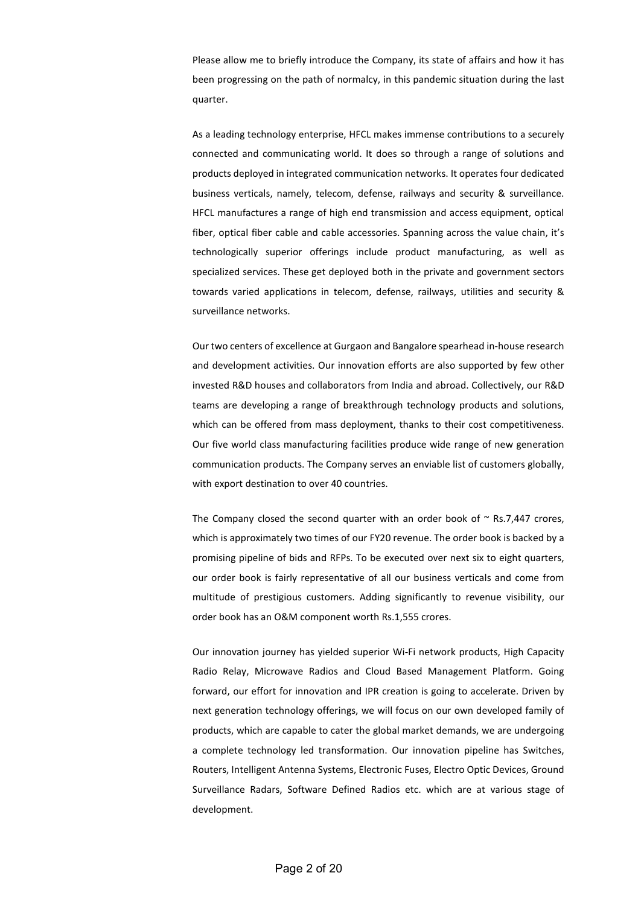Please allow me to briefly introduce the Company, its state of affairs and how it has been progressing on the path of normalcy, in this pandemic situation during the last quarter.

As a leading technology enterprise, HFCL makes immense contributions to a securely connected and communicating world. It does so through a range of solutions and products deployed in integrated communication networks. It operates four dedicated business verticals, namely, telecom, defense, railways and security & surveillance. HFCL manufactures a range of high end transmission and access equipment, optical fiber, optical fiber cable and cable accessories. Spanning across the value chain, it's technologically superior offerings include product manufacturing, as well as specialized services. These get deployed both in the private and government sectors towards varied applications in telecom, defense, railways, utilities and security & surveillance networks.

Our two centers of excellence at Gurgaon and Bangalore spearhead in-house research and development activities. Our innovation efforts are also supported by few other invested R&D houses and collaborators from India and abroad. Collectively, our R&D teams are developing a range of breakthrough technology products and solutions, which can be offered from mass deployment, thanks to their cost competitiveness. Our five world class manufacturing facilities produce wide range of new generation communication products. The Company serves an enviable list of customers globally, with export destination to over 40 countries.

The Company closed the second quarter with an order book of  $\sim$  Rs.7,447 crores, which is approximately two times of our FY20 revenue. The order book is backed by a promising pipeline of bids and RFPs. To be executed over next six to eight quarters, our order book is fairly representative of all our business verticals and come from multitude of prestigious customers. Adding significantly to revenue visibility, our order book has an O&M component worth Rs.1,555 crores.

Our innovation journey has yielded superior Wi-Fi network products, High Capacity Radio Relay, Microwave Radios and Cloud Based Management Platform. Going forward, our effort for innovation and IPR creation is going to accelerate. Driven by next generation technology offerings, we will focus on our own developed family of products, which are capable to cater the global market demands, we are undergoing a complete technology led transformation. Our innovation pipeline has Switches, Routers, Intelligent Antenna Systems, Electronic Fuses, Electro Optic Devices, Ground Surveillance Radars, Software Defined Radios etc. which are at various stage of development.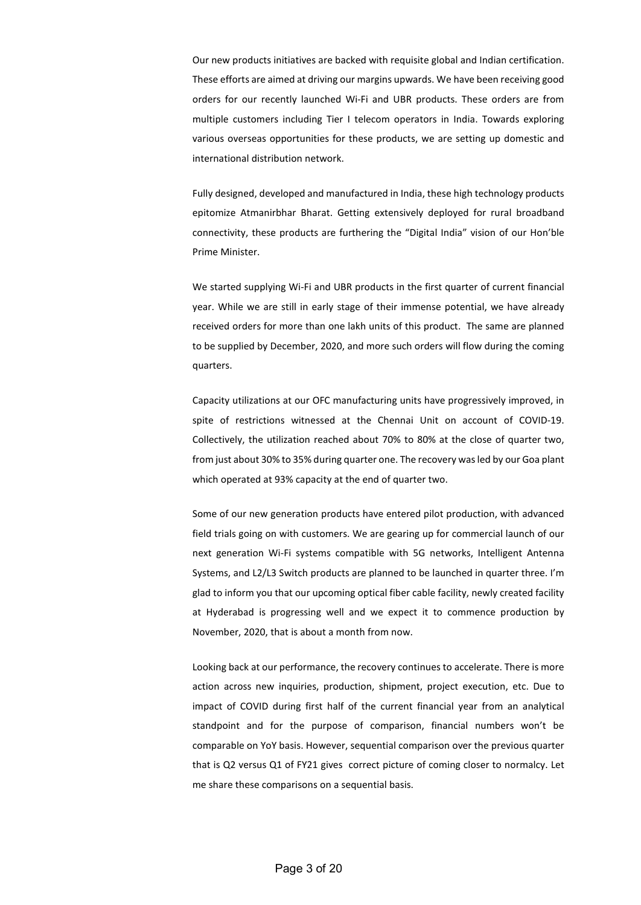Our new products initiatives are backed with requisite global and Indian certification. These efforts are aimed at driving our margins upwards. We have been receiving good orders for our recently launched Wi-Fi and UBR products. These orders are from multiple customers including Tier I telecom operators in India. Towards exploring various overseas opportunities for these products, we are setting up domestic and international distribution network.

Fully designed, developed and manufactured in India, these high technology products epitomize Atmanirbhar Bharat. Getting extensively deployed for rural broadband connectivity, these products are furthering the "Digital India" vision of our Hon'ble Prime Minister.

We started supplying Wi-Fi and UBR products in the first quarter of current financial year. While we are still in early stage of their immense potential, we have already received orders for more than one lakh units of this product. The same are planned to be supplied by December, 2020, and more such orders will flow during the coming quarters.

Capacity utilizations at our OFC manufacturing units have progressively improved, in spite of restrictions witnessed at the Chennai Unit on account of COVID-19. Collectively, the utilization reached about 70% to 80% at the close of quarter two, from just about 30% to 35% during quarter one. The recovery was led by our Goa plant which operated at 93% capacity at the end of quarter two.

Some of our new generation products have entered pilot production, with advanced field trials going on with customers. We are gearing up for commercial launch of our next generation Wi-Fi systems compatible with 5G networks, Intelligent Antenna Systems, and L2/L3 Switch products are planned to be launched in quarter three. I'm glad to inform you that our upcoming optical fiber cable facility, newly created facility at Hyderabad is progressing well and we expect it to commence production by November, 2020, that is about a month from now.

Looking back at our performance, the recovery continues to accelerate. There is more action across new inquiries, production, shipment, project execution, etc. Due to impact of COVID during first half of the current financial year from an analytical standpoint and for the purpose of comparison, financial numbers won't be comparable on YoY basis. However, sequential comparison over the previous quarter that is Q2 versus Q1 of FY21 gives correct picture of coming closer to normalcy. Let me share these comparisons on a sequential basis.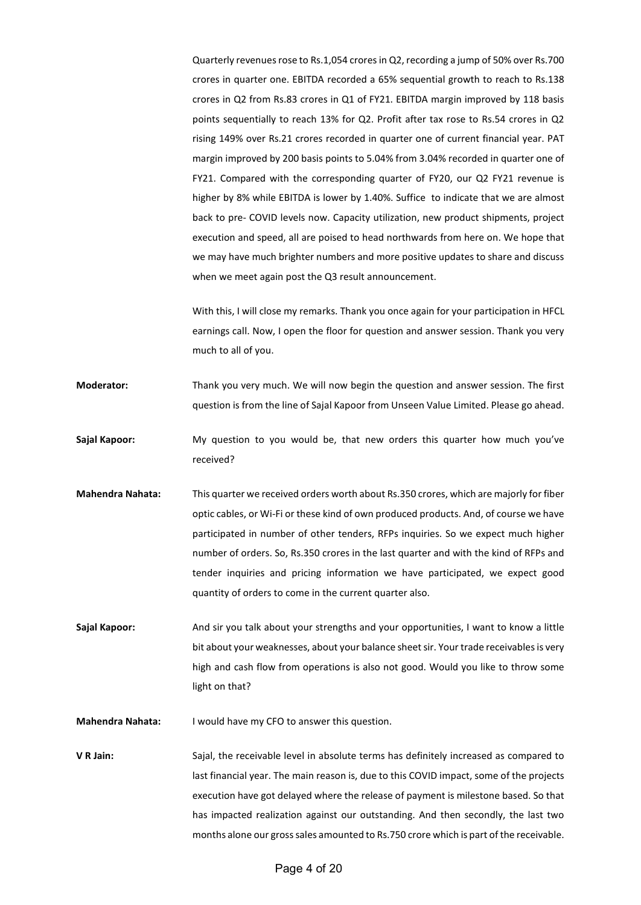Quarterly revenues rose to Rs.1,054 crores in Q2, recording a jump of 50% over Rs.700 crores in quarter one. EBITDA recorded a 65% sequential growth to reach to Rs.138 crores in Q2 from Rs.83 crores in Q1 of FY21. EBITDA margin improved by 118 basis points sequentially to reach 13% for Q2. Profit after tax rose to Rs.54 crores in Q2 rising 149% over Rs.21 crores recorded in quarter one of current financial year. PAT margin improved by 200 basis points to 5.04% from 3.04% recorded in quarter one of FY21. Compared with the corresponding quarter of FY20, our Q2 FY21 revenue is higher by 8% while EBITDA is lower by 1.40%. Suffice to indicate that we are almost back to pre- COVID levels now. Capacity utilization, new product shipments, project execution and speed, all are poised to head northwards from here on. We hope that we may have much brighter numbers and more positive updates to share and discuss when we meet again post the Q3 result announcement.

With this, I will close my remarks. Thank you once again for your participation in HFCL earnings call. Now, I open the floor for question and answer session. Thank you very much to all of you.

**Moderator:** Thank you very much. We will now begin the question and answer session. The first question is from the line of Sajal Kapoor from Unseen Value Limited. Please go ahead.

- **Sajal Kapoor:** My question to you would be, that new orders this quarter how much you've received?
- **Mahendra Nahata:** This quarter we received orders worth about Rs.350 crores, which are majorly for fiber optic cables, or Wi-Fi or these kind of own produced products. And, of course we have participated in number of other tenders, RFPs inquiries. So we expect much higher number of orders. So, Rs.350 crores in the last quarter and with the kind of RFPs and tender inquiries and pricing information we have participated, we expect good quantity of orders to come in the current quarter also.

**Sajal Kapoor:** And sir you talk about your strengths and your opportunities, I want to know a little bit about your weaknesses, about your balance sheet sir. Your trade receivables is very high and cash flow from operations is also not good. Would you like to throw some light on that?

**Mahendra Nahata:** I would have my CFO to answer this question.

**V R Jain:** Sajal, the receivable level in absolute terms has definitely increased as compared to last financial year. The main reason is, due to this COVID impact, some of the projects execution have got delayed where the release of payment is milestone based. So that has impacted realization against our outstanding. And then secondly, the last two months alone our gross sales amounted to Rs.750 crore which is part of the receivable.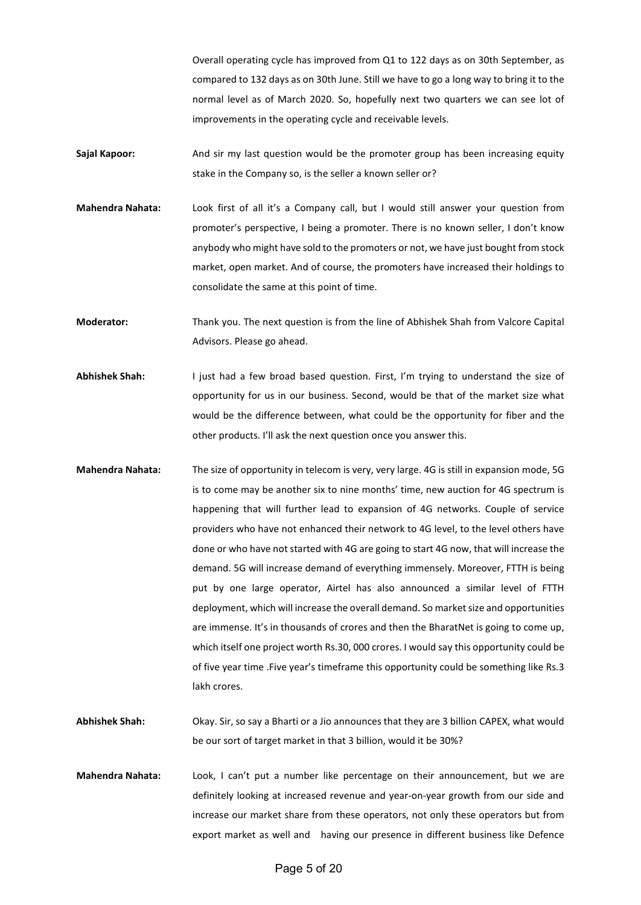Overall operating cycle has improved from Q1 to 122 days as on 30th September, as compared to 132 days as on 30th June. Still we have to go a long way to bring it to the normal level as of March 2020. So, hopefully next two quarters we can see lot of improvements in the operating cycle and receivable levels.

- **Sajal Kapoor:** And sir my last question would be the promoter group has been increasing equity stake in the Company so, is the seller a known seller or?
- **Mahendra Nahata:** Look first of all it's a Company call, but I would still answer your question from promoter's perspective, I being a promoter. There is no known seller, I don't know anybody who might have sold to the promoters or not, we have just bought from stock market, open market. And of course, the promoters have increased their holdings to consolidate the same at this point of time.

**Moderator:** Thank you. The next question is from the line of Abhishek Shah from Valcore Capital Advisors. Please go ahead.

- **Abhishek Shah:** I just had a few broad based question. First, I'm trying to understand the size of opportunity for us in our business. Second, would be that of the market size what would be the difference between, what could be the opportunity for fiber and the other products. I'll ask the next question once you answer this.
- **Mahendra Nahata:** The size of opportunity in telecom is very, very large. 4G is still in expansion mode, 5G is to come may be another six to nine months' time, new auction for 4G spectrum is happening that will further lead to expansion of 4G networks. Couple of service providers who have not enhanced their network to 4G level, to the level others have done or who have not started with 4G are going to start 4G now, that will increase the demand. 5G will increase demand of everything immensely. Moreover, FTTH is being put by one large operator, Airtel has also announced a similar level of FTTH deployment, which will increase the overall demand. So market size and opportunities are immense. It's in thousands of crores and then the BharatNet is going to come up, which itself one project worth Rs.30, 000 crores. I would say this opportunity could be of five year time .Five year's timeframe this opportunity could be something like Rs.3 lakh crores.
- **Abhishek Shah:** Okay. Sir, so say a Bharti or a Jio announces that they are 3 billion CAPEX, what would be our sort of target market in that 3 billion, would it be 30%?
- **Mahendra Nahata:** Look, I can't put a number like percentage on their announcement, but we are definitely looking at increased revenue and year-on-year growth from our side and increase our market share from these operators, not only these operators but from export market as well and having our presence in different business like Defence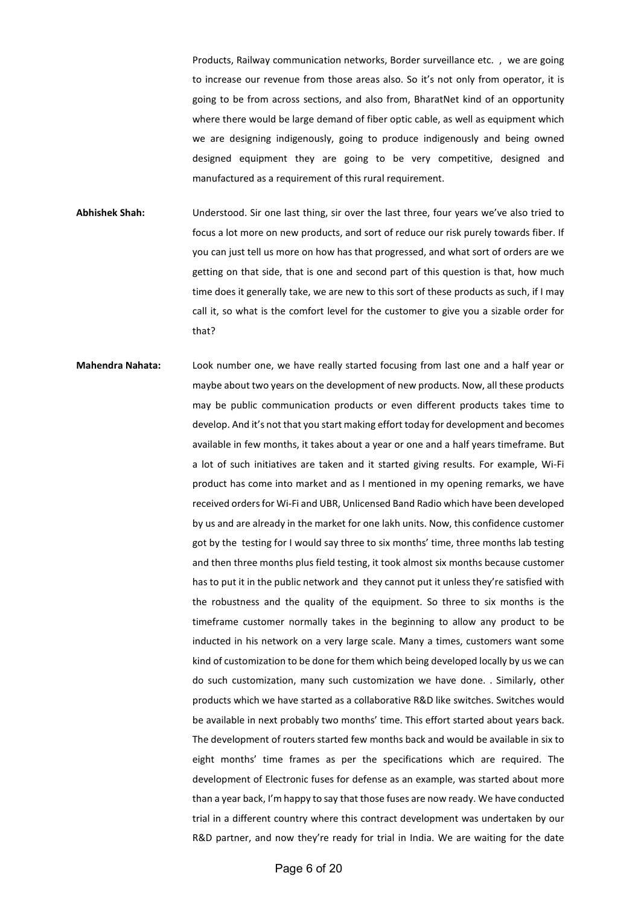Products, Railway communication networks, Border surveillance etc. , we are going to increase our revenue from those areas also. So it's not only from operator, it is going to be from across sections, and also from, BharatNet kind of an opportunity where there would be large demand of fiber optic cable, as well as equipment which we are designing indigenously, going to produce indigenously and being owned designed equipment they are going to be very competitive, designed and manufactured as a requirement of this rural requirement.

- **Abhishek Shah:** Understood. Sir one last thing, sir over the last three, four years we've also tried to focus a lot more on new products, and sort of reduce our risk purely towards fiber. If you can just tell us more on how has that progressed, and what sort of orders are we getting on that side, that is one and second part of this question is that, how much time does it generally take, we are new to this sort of these products as such, if I may call it, so what is the comfort level for the customer to give you a sizable order for that?
- **Mahendra Nahata:** Look number one, we have really started focusing from last one and a half year or maybe about two years on the development of new products. Now, all these products may be public communication products or even different products takes time to develop. And it's not that you start making effort today for development and becomes available in few months, it takes about a year or one and a half years timeframe. But a lot of such initiatives are taken and it started giving results. For example, Wi-Fi product has come into market and as I mentioned in my opening remarks, we have received orders for Wi-Fi and UBR, Unlicensed Band Radio which have been developed by us and are already in the market for one lakh units. Now, this confidence customer got by the testing for I would say three to six months' time, three months lab testing and then three months plus field testing, it took almost six months because customer has to put it in the public network and they cannot put it unless they're satisfied with the robustness and the quality of the equipment. So three to six months is the timeframe customer normally takes in the beginning to allow any product to be inducted in his network on a very large scale. Many a times, customers want some kind of customization to be done for them which being developed locally by us we can do such customization, many such customization we have done. . Similarly, other products which we have started as a collaborative R&D like switches. Switches would be available in next probably two months' time. This effort started about years back. The development of routers started few months back and would be available in six to eight months' time frames as per the specifications which are required. The development of Electronic fuses for defense as an example, was started about more than a year back, I'm happy to say that those fuses are now ready. We have conducted trial in a different country where this contract development was undertaken by our R&D partner, and now they're ready for trial in India. We are waiting for the date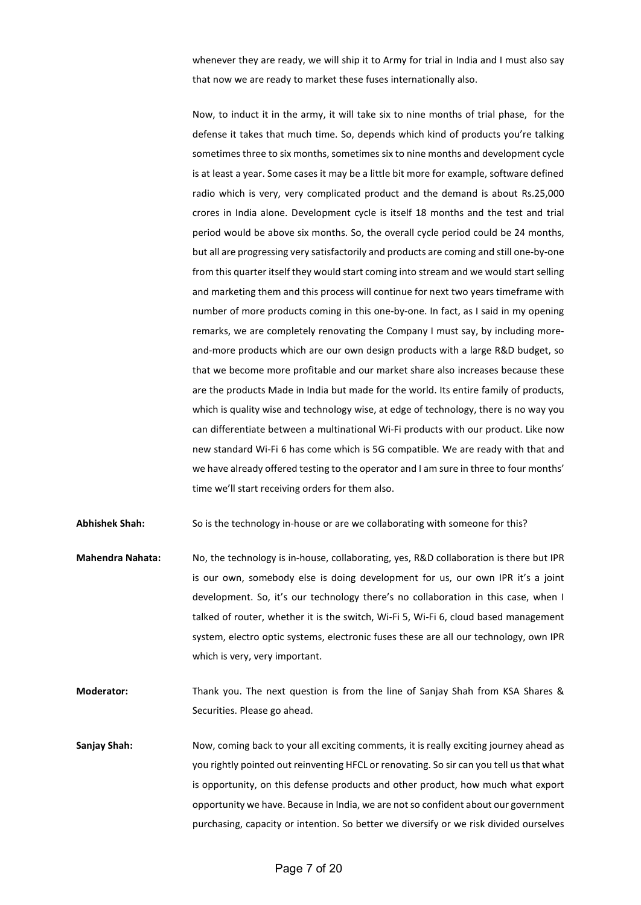whenever they are ready, we will ship it to Army for trial in India and I must also say that now we are ready to market these fuses internationally also.

Now, to induct it in the army, it will take six to nine months of trial phase, for the defense it takes that much time. So, depends which kind of products you're talking sometimes three to six months, sometimes six to nine months and development cycle is at least a year. Some cases it may be a little bit more for example, software defined radio which is very, very complicated product and the demand is about Rs.25,000 crores in India alone. Development cycle is itself 18 months and the test and trial period would be above six months. So, the overall cycle period could be 24 months, but all are progressing very satisfactorily and products are coming and still one-by-one from this quarter itself they would start coming into stream and we would start selling and marketing them and this process will continue for next two years timeframe with number of more products coming in this one-by-one. In fact, as I said in my opening remarks, we are completely renovating the Company I must say, by including moreand-more products which are our own design products with a large R&D budget, so that we become more profitable and our market share also increases because these are the products Made in India but made for the world. Its entire family of products, which is quality wise and technology wise, at edge of technology, there is no way you can differentiate between a multinational Wi-Fi products with our product. Like now new standard Wi-Fi 6 has come which is 5G compatible. We are ready with that and we have already offered testing to the operator and I am sure in three to four months' time we'll start receiving orders for them also.

**Abhishek Shah:** So is the technology in-house or are we collaborating with someone for this?

- **Mahendra Nahata:** No, the technology is in-house, collaborating, yes, R&D collaboration is there but IPR is our own, somebody else is doing development for us, our own IPR it's a joint development. So, it's our technology there's no collaboration in this case, when I talked of router, whether it is the switch, Wi-Fi 5, Wi-Fi 6, cloud based management system, electro optic systems, electronic fuses these are all our technology, own IPR which is very, very important.
- **Moderator:** Thank you. The next question is from the line of Sanjay Shah from KSA Shares & Securities. Please go ahead.
- **Sanjay Shah:** Now, coming back to your all exciting comments, it is really exciting journey ahead as you rightly pointed out reinventing HFCL or renovating. So sir can you tell us that what is opportunity, on this defense products and other product, how much what export opportunity we have. Because in India, we are not so confident about our government purchasing, capacity or intention. So better we diversify or we risk divided ourselves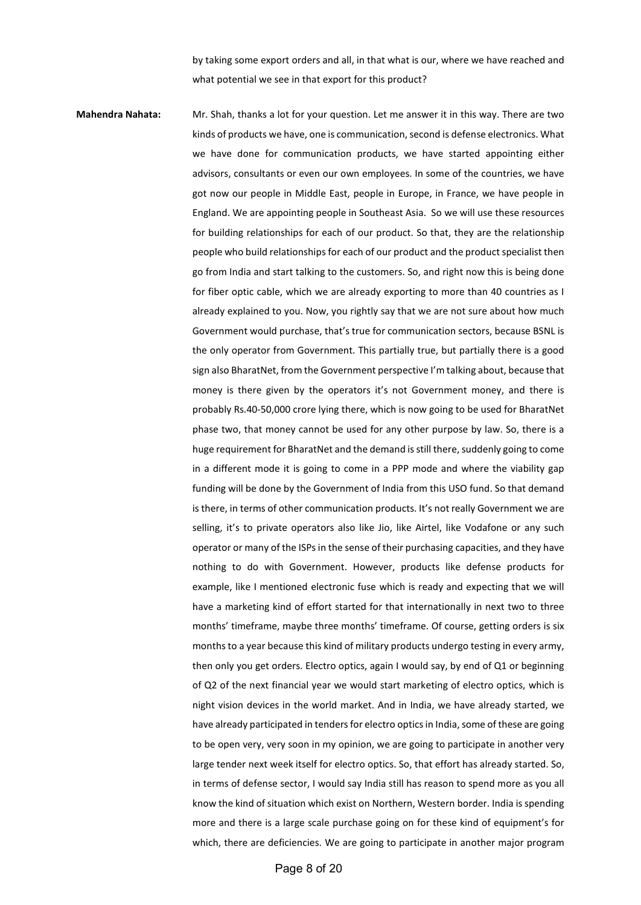by taking some export orders and all, in that what is our, where we have reached and what potential we see in that export for this product?

**Mahendra Nahata:** Mr. Shah, thanks a lot for your question. Let me answer it in this way. There are two kinds of products we have, one is communication, second is defense electronics. What we have done for communication products, we have started appointing either advisors, consultants or even our own employees. In some of the countries, we have got now our people in Middle East, people in Europe, in France, we have people in England. We are appointing people in Southeast Asia. So we will use these resources for building relationships for each of our product. So that, they are the relationship people who build relationships for each of our product and the product specialist then go from India and start talking to the customers. So, and right now this is being done for fiber optic cable, which we are already exporting to more than 40 countries as I already explained to you. Now, you rightly say that we are not sure about how much Government would purchase, that's true for communication sectors, because BSNL is the only operator from Government. This partially true, but partially there is a good sign also BharatNet, from the Government perspective I'm talking about, because that money is there given by the operators it's not Government money, and there is probably Rs.40-50,000 crore lying there, which is now going to be used for BharatNet phase two, that money cannot be used for any other purpose by law. So, there is a huge requirement for BharatNet and the demand is still there, suddenly going to come in a different mode it is going to come in a PPP mode and where the viability gap funding will be done by the Government of India from this USO fund. So that demand is there, in terms of other communication products. It's not really Government we are selling, it's to private operators also like Jio, like Airtel, like Vodafone or any such operator or many of the ISPsin the sense of their purchasing capacities, and they have nothing to do with Government. However, products like defense products for example, like I mentioned electronic fuse which is ready and expecting that we will have a marketing kind of effort started for that internationally in next two to three months' timeframe, maybe three months' timeframe. Of course, getting orders is six months to a year because this kind of military products undergo testing in every army, then only you get orders. Electro optics, again I would say, by end of Q1 or beginning of Q2 of the next financial year we would start marketing of electro optics, which is night vision devices in the world market. And in India, we have already started, we have already participated in tenders for electro optics in India, some of these are going to be open very, very soon in my opinion, we are going to participate in another very large tender next week itself for electro optics. So, that effort has already started. So, in terms of defense sector, I would say India still has reason to spend more as you all know the kind of situation which exist on Northern, Western border. India is spending more and there is a large scale purchase going on for these kind of equipment's for which, there are deficiencies. We are going to participate in another major program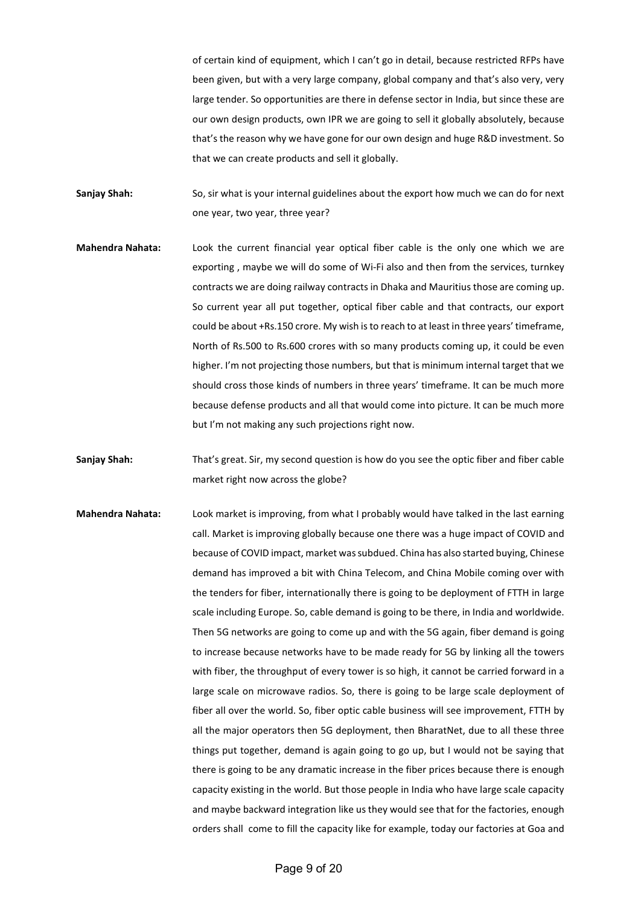of certain kind of equipment, which I can't go in detail, because restricted RFPs have been given, but with a very large company, global company and that's also very, very large tender. So opportunities are there in defense sector in India, but since these are our own design products, own IPR we are going to sell it globally absolutely, because that's the reason why we have gone for our own design and huge R&D investment. So that we can create products and sell it globally.

**Sanjay Shah:** So, sir what is your internal guidelines about the export how much we can do for next one year, two year, three year?

**Mahendra Nahata:** Look the current financial year optical fiber cable is the only one which we are exporting , maybe we will do some of Wi-Fi also and then from the services, turnkey contracts we are doing railway contracts in Dhaka and Mauritius those are coming up. So current year all put together, optical fiber cable and that contracts, our export could be about +Rs.150 crore. My wish is to reach to at least in three years' timeframe, North of Rs.500 to Rs.600 crores with so many products coming up, it could be even higher. I'm not projecting those numbers, but that is minimum internal target that we should cross those kinds of numbers in three years' timeframe. It can be much more because defense products and all that would come into picture. It can be much more but I'm not making any such projections right now.

**Sanjay Shah:** That's great. Sir, my second question is how do you see the optic fiber and fiber cable market right now across the globe?

**Mahendra Nahata:** Look market is improving, from what I probably would have talked in the last earning call. Market is improving globally because one there was a huge impact of COVID and because of COVID impact, market was subdued. China has also started buying, Chinese demand has improved a bit with China Telecom, and China Mobile coming over with the tenders for fiber, internationally there is going to be deployment of FTTH in large scale including Europe. So, cable demand is going to be there, in India and worldwide. Then 5G networks are going to come up and with the 5G again, fiber demand is going to increase because networks have to be made ready for 5G by linking all the towers with fiber, the throughput of every tower is so high, it cannot be carried forward in a large scale on microwave radios. So, there is going to be large scale deployment of fiber all over the world. So, fiber optic cable business will see improvement, FTTH by all the major operators then 5G deployment, then BharatNet, due to all these three things put together, demand is again going to go up, but I would not be saying that there is going to be any dramatic increase in the fiber prices because there is enough capacity existing in the world. But those people in India who have large scale capacity and maybe backward integration like us they would see that for the factories, enough orders shall come to fill the capacity like for example, today our factories at Goa and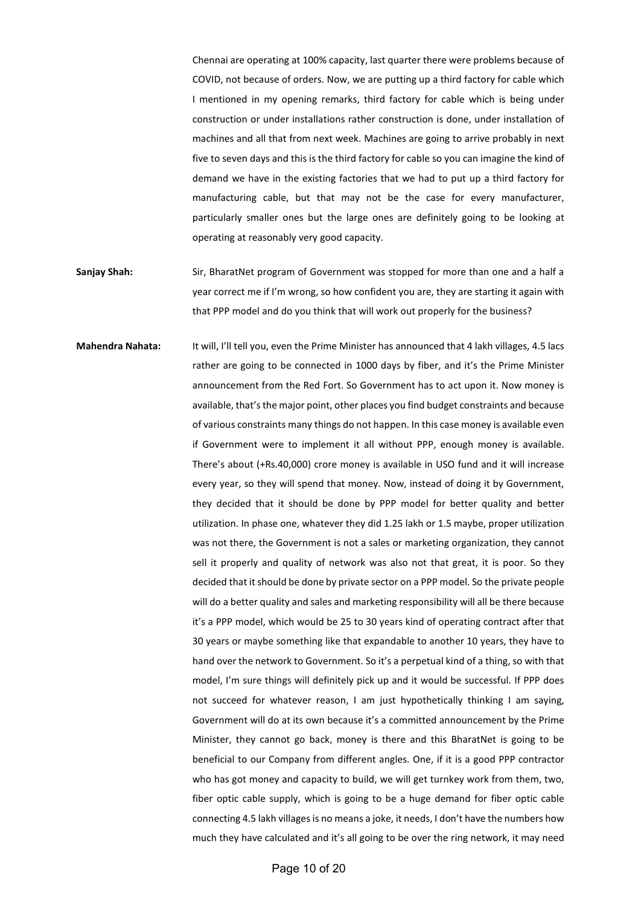Chennai are operating at 100% capacity, last quarter there were problems because of COVID, not because of orders. Now, we are putting up a third factory for cable which I mentioned in my opening remarks, third factory for cable which is being under construction or under installations rather construction is done, under installation of machines and all that from next week. Machines are going to arrive probably in next five to seven days and this is the third factory for cable so you can imagine the kind of demand we have in the existing factories that we had to put up a third factory for manufacturing cable, but that may not be the case for every manufacturer, particularly smaller ones but the large ones are definitely going to be looking at operating at reasonably very good capacity.

- Sanjay Shah: Sir, BharatNet program of Government was stopped for more than one and a half a year correct me if I'm wrong, so how confident you are, they are starting it again with that PPP model and do you think that will work out properly for the business?
- **Mahendra Nahata:** It will, I'll tell you, even the Prime Minister has announced that 4 lakh villages, 4.5 lacs rather are going to be connected in 1000 days by fiber, and it's the Prime Minister announcement from the Red Fort. So Government has to act upon it. Now money is available, that's the major point, other places you find budget constraints and because of various constraints many things do not happen. In this case money is available even if Government were to implement it all without PPP, enough money is available. There's about (+Rs.40,000) crore money is available in USO fund and it will increase every year, so they will spend that money. Now, instead of doing it by Government, they decided that it should be done by PPP model for better quality and better utilization. In phase one, whatever they did 1.25 lakh or 1.5 maybe, proper utilization was not there, the Government is not a sales or marketing organization, they cannot sell it properly and quality of network was also not that great, it is poor. So they decided that it should be done by private sector on a PPP model. So the private people will do a better quality and sales and marketing responsibility will all be there because it's a PPP model, which would be 25 to 30 years kind of operating contract after that 30 years or maybe something like that expandable to another 10 years, they have to hand over the network to Government. So it's a perpetual kind of a thing, so with that model, I'm sure things will definitely pick up and it would be successful. If PPP does not succeed for whatever reason, I am just hypothetically thinking I am saying, Government will do at its own because it's a committed announcement by the Prime Minister, they cannot go back, money is there and this BharatNet is going to be beneficial to our Company from different angles. One, if it is a good PPP contractor who has got money and capacity to build, we will get turnkey work from them, two, fiber optic cable supply, which is going to be a huge demand for fiber optic cable connecting 4.5 lakh villages is no means a joke, it needs, I don't have the numbers how much they have calculated and it's all going to be over the ring network, it may need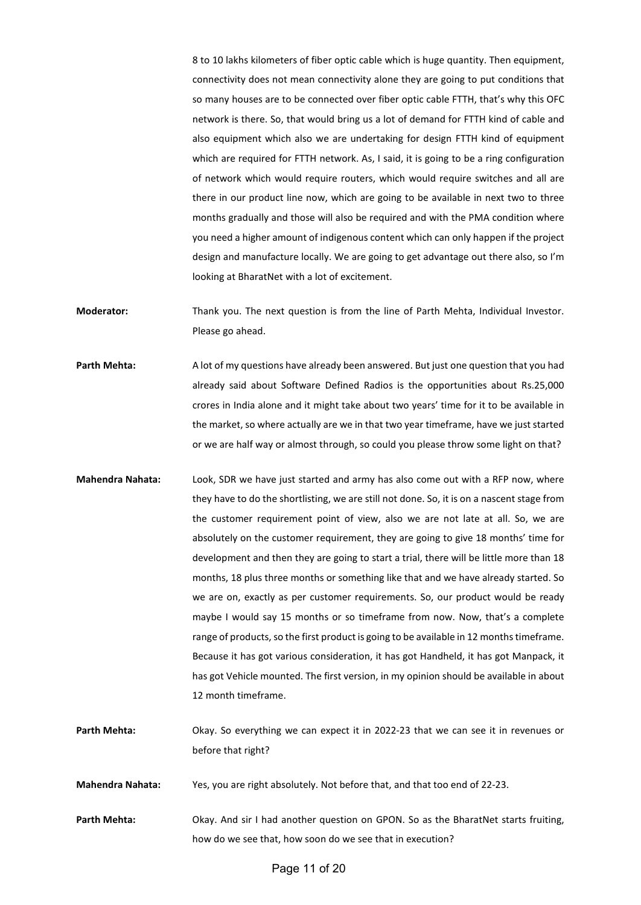8 to 10 lakhs kilometers of fiber optic cable which is huge quantity. Then equipment, connectivity does not mean connectivity alone they are going to put conditions that so many houses are to be connected over fiber optic cable FTTH, that's why this OFC network is there. So, that would bring us a lot of demand for FTTH kind of cable and also equipment which also we are undertaking for design FTTH kind of equipment which are required for FTTH network. As, I said, it is going to be a ring configuration of network which would require routers, which would require switches and all are there in our product line now, which are going to be available in next two to three months gradually and those will also be required and with the PMA condition where you need a higher amount of indigenous content which can only happen if the project design and manufacture locally. We are going to get advantage out there also, so I'm looking at BharatNet with a lot of excitement.

**Moderator:** Thank you. The next question is from the line of Parth Mehta, Individual Investor. Please go ahead.

**Parth Mehta:** A lot of my questions have already been answered. But just one question that you had already said about Software Defined Radios is the opportunities about Rs.25,000 crores in India alone and it might take about two years' time for it to be available in the market, so where actually are we in that two year timeframe, have we just started or we are half way or almost through, so could you please throw some light on that?

- **Mahendra Nahata:** Look, SDR we have just started and army has also come out with a RFP now, where they have to do the shortlisting, we are still not done. So, it is on a nascent stage from the customer requirement point of view, also we are not late at all. So, we are absolutely on the customer requirement, they are going to give 18 months' time for development and then they are going to start a trial, there will be little more than 18 months, 18 plus three months or something like that and we have already started. So we are on, exactly as per customer requirements. So, our product would be ready maybe I would say 15 months or so timeframe from now. Now, that's a complete range of products, so the first product is going to be available in 12 months timeframe. Because it has got various consideration, it has got Handheld, it has got Manpack, it has got Vehicle mounted. The first version, in my opinion should be available in about 12 month timeframe.
- **Parth Mehta:** Okay. So everything we can expect it in 2022-23 that we can see it in revenues or before that right?

**Mahendra Nahata:** Yes, you are right absolutely. Not before that, and that too end of 22-23.

Parth Mehta: Okay. And sir I had another question on GPON. So as the BharatNet starts fruiting, how do we see that, how soon do we see that in execution?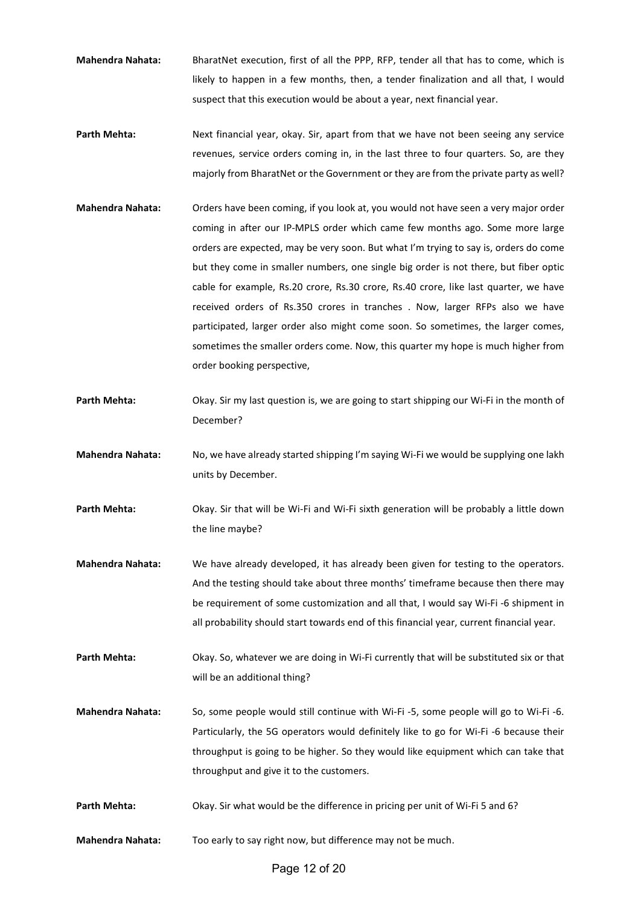- **Mahendra Nahata:** BharatNet execution, first of all the PPP, RFP, tender all that has to come, which is likely to happen in a few months, then, a tender finalization and all that, I would suspect that this execution would be about a year, next financial year.
- Parth Mehta: Next financial year, okay. Sir, apart from that we have not been seeing any service revenues, service orders coming in, in the last three to four quarters. So, are they majorly from BharatNet or the Government or they are from the private party as well?
- **Mahendra Nahata:** Orders have been coming, if you look at, you would not have seen a very major order coming in after our IP-MPLS order which came few months ago. Some more large orders are expected, may be very soon. But what I'm trying to say is, orders do come but they come in smaller numbers, one single big order is not there, but fiber optic cable for example, Rs.20 crore, Rs.30 crore, Rs.40 crore, like last quarter, we have received orders of Rs.350 crores in tranches . Now, larger RFPs also we have participated, larger order also might come soon. So sometimes, the larger comes, sometimes the smaller orders come. Now, this quarter my hope is much higher from order booking perspective,
- **Parth Mehta:** Okay. Sir my last question is, we are going to start shipping our Wi-Fi in the month of December?
- **Mahendra Nahata:** No, we have already started shipping I'm saying Wi-Fi we would be supplying one lakh units by December.
- Parth Mehta: Okay. Sir that will be Wi-Fi and Wi-Fi sixth generation will be probably a little down the line maybe?
- **Mahendra Nahata:** We have already developed, it has already been given for testing to the operators. And the testing should take about three months' timeframe because then there may be requirement of some customization and all that, I would say Wi-Fi -6 shipment in all probability should start towards end of this financial year, current financial year.
- Parth Mehta: Okay. So, whatever we are doing in Wi-Fi currently that will be substituted six or that will be an additional thing?
- **Mahendra Nahata:** So, some people would still continue with Wi-Fi -5, some people will go to Wi-Fi -6. Particularly, the 5G operators would definitely like to go for Wi-Fi -6 because their throughput is going to be higher. So they would like equipment which can take that throughput and give it to the customers.
- Parth Mehta: Okay. Sir what would be the difference in pricing per unit of Wi-Fi 5 and 6?
- **Mahendra Nahata:** Too early to say right now, but difference may not be much.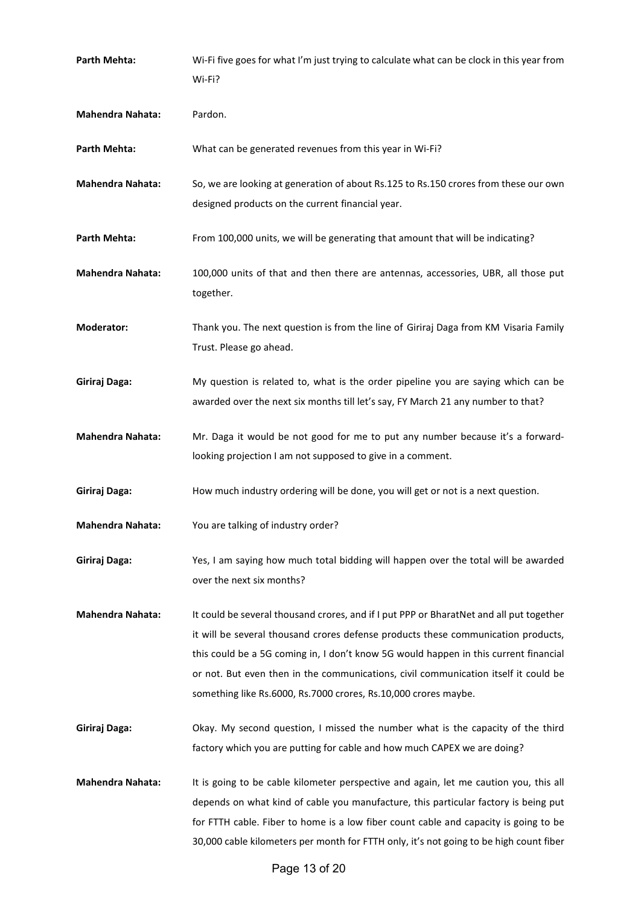| Parth Mehta:            | Wi-Fi five goes for what I'm just trying to calculate what can be clock in this year from<br>Wi-Fi?                                                                                                                                                                                                                                                                                                                            |
|-------------------------|--------------------------------------------------------------------------------------------------------------------------------------------------------------------------------------------------------------------------------------------------------------------------------------------------------------------------------------------------------------------------------------------------------------------------------|
| <b>Mahendra Nahata:</b> | Pardon.                                                                                                                                                                                                                                                                                                                                                                                                                        |
| Parth Mehta:            | What can be generated revenues from this year in Wi-Fi?                                                                                                                                                                                                                                                                                                                                                                        |
| <b>Mahendra Nahata:</b> | So, we are looking at generation of about Rs.125 to Rs.150 crores from these our own<br>designed products on the current financial year.                                                                                                                                                                                                                                                                                       |
| Parth Mehta:            | From 100,000 units, we will be generating that amount that will be indicating?                                                                                                                                                                                                                                                                                                                                                 |
| <b>Mahendra Nahata:</b> | 100,000 units of that and then there are antennas, accessories, UBR, all those put<br>together.                                                                                                                                                                                                                                                                                                                                |
| <b>Moderator:</b>       | Thank you. The next question is from the line of Giriraj Daga from KM Visaria Family<br>Trust. Please go ahead.                                                                                                                                                                                                                                                                                                                |
| Giriraj Daga:           | My question is related to, what is the order pipeline you are saying which can be<br>awarded over the next six months till let's say, FY March 21 any number to that?                                                                                                                                                                                                                                                          |
| <b>Mahendra Nahata:</b> | Mr. Daga it would be not good for me to put any number because it's a forward-<br>looking projection I am not supposed to give in a comment.                                                                                                                                                                                                                                                                                   |
| Giriraj Daga:           | How much industry ordering will be done, you will get or not is a next question.                                                                                                                                                                                                                                                                                                                                               |
| <b>Mahendra Nahata:</b> | You are talking of industry order?                                                                                                                                                                                                                                                                                                                                                                                             |
| Giriraj Daga:           | Yes, I am saying how much total bidding will happen over the total will be awarded<br>over the next six months?                                                                                                                                                                                                                                                                                                                |
| <b>Mahendra Nahata:</b> | It could be several thousand crores, and if I put PPP or BharatNet and all put together<br>it will be several thousand crores defense products these communication products,<br>this could be a 5G coming in, I don't know 5G would happen in this current financial<br>or not. But even then in the communications, civil communication itself it could be<br>something like Rs.6000, Rs.7000 crores, Rs.10,000 crores maybe. |
| Giriraj Daga:           | Okay. My second question, I missed the number what is the capacity of the third<br>factory which you are putting for cable and how much CAPEX we are doing?                                                                                                                                                                                                                                                                    |
| <b>Mahendra Nahata:</b> | It is going to be cable kilometer perspective and again, let me caution you, this all<br>depends on what kind of cable you manufacture, this particular factory is being put<br>for FTTH cable. Fiber to home is a low fiber count cable and capacity is going to be<br>30,000 cable kilometers per month for FTTH only, it's not going to be high count fiber                                                                 |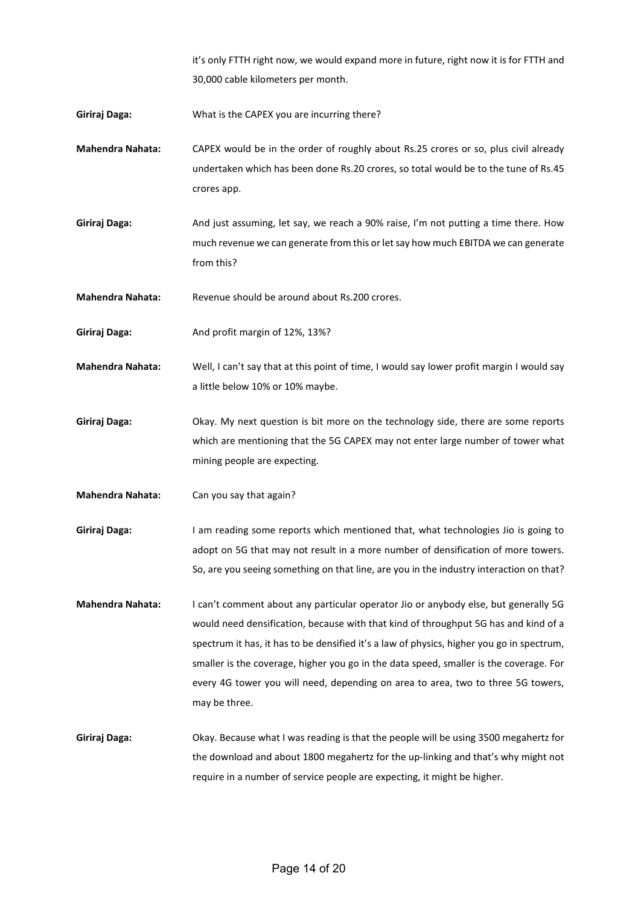it's only FTTH right now, we would expand more in future, right now it is for FTTH and 30,000 cable kilometers per month.

**Giriraj Daga:** What is the CAPEX you are incurring there?

- **Mahendra Nahata:** CAPEX would be in the order of roughly about Rs.25 crores or so, plus civil already undertaken which has been done Rs.20 crores, so total would be to the tune of Rs.45 crores app.
- **Giriraj Daga:** And just assuming, let say, we reach a 90% raise, I'm not putting a time there. How much revenue we can generate from this or let say how much EBITDA we can generate from this?

**Mahendra Nahata:** Revenue should be around about Rs.200 crores.

- **Giriraj Daga:** And profit margin of 12%, 13%?
- **Mahendra Nahata:** Well, I can't say that at this point of time, I would say lower profit margin I would say a little below 10% or 10% maybe.
- **Giriraj Daga:** Okay. My next question is bit more on the technology side, there are some reports which are mentioning that the 5G CAPEX may not enter large number of tower what mining people are expecting.

**Mahendra Nahata:** Can you say that again?

- **Giriraj Daga:** I am reading some reports which mentioned that, what technologies Jio is going to adopt on 5G that may not result in a more number of densification of more towers. So, are you seeing something on that line, are you in the industry interaction on that?
- **Mahendra Nahata:** I can't comment about any particular operator Jio or anybody else, but generally 5G would need densification, because with that kind of throughput 5G has and kind of a spectrum it has, it has to be densified it's a law of physics, higher you go in spectrum, smaller is the coverage, higher you go in the data speed, smaller is the coverage. For every 4G tower you will need, depending on area to area, two to three 5G towers, may be three.
- **Giriraj Daga:** Okay. Because what I was reading is that the people will be using 3500 megahertz for the download and about 1800 megahertz for the up-linking and that's why might not require in a number of service people are expecting, it might be higher.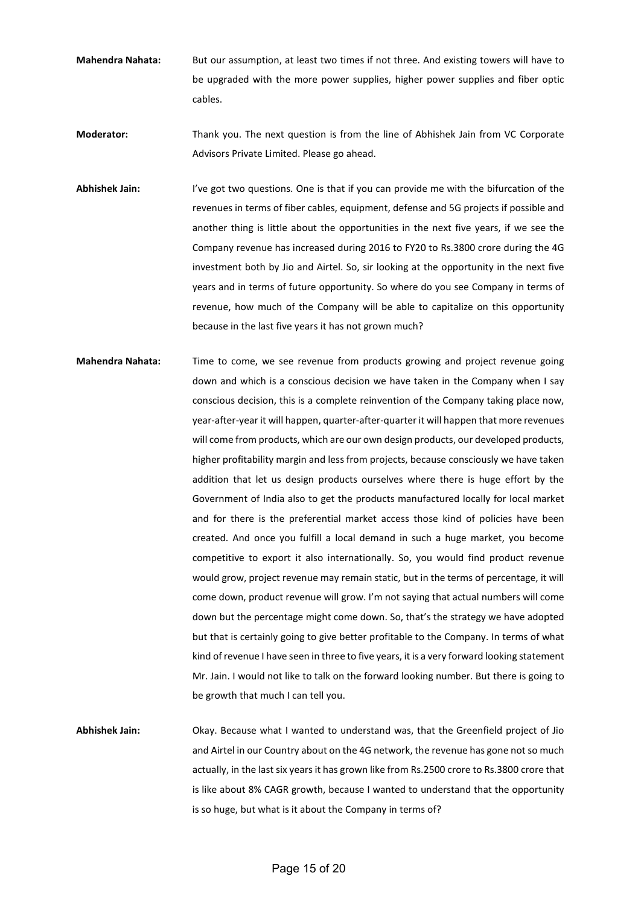**Mahendra Nahata:** But our assumption, at least two times if not three. And existing towers will have to be upgraded with the more power supplies, higher power supplies and fiber optic cables.

**Moderator:** Thank you. The next question is from the line of Abhishek Jain from VC Corporate Advisors Private Limited. Please go ahead.

- **Abhishek Jain:** I've got two questions. One is that if you can provide me with the bifurcation of the revenues in terms of fiber cables, equipment, defense and 5G projects if possible and another thing is little about the opportunities in the next five years, if we see the Company revenue has increased during 2016 to FY20 to Rs.3800 crore during the 4G investment both by Jio and Airtel. So, sir looking at the opportunity in the next five years and in terms of future opportunity. So where do you see Company in terms of revenue, how much of the Company will be able to capitalize on this opportunity because in the last five years it has not grown much?
- **Mahendra Nahata:** Time to come, we see revenue from products growing and project revenue going down and which is a conscious decision we have taken in the Company when I say conscious decision, this is a complete reinvention of the Company taking place now, year-after-year it will happen, quarter-after-quarter it will happen that more revenues will come from products, which are our own design products, our developed products, higher profitability margin and less from projects, because consciously we have taken addition that let us design products ourselves where there is huge effort by the Government of India also to get the products manufactured locally for local market and for there is the preferential market access those kind of policies have been created. And once you fulfill a local demand in such a huge market, you become competitive to export it also internationally. So, you would find product revenue would grow, project revenue may remain static, but in the terms of percentage, it will come down, product revenue will grow. I'm not saying that actual numbers will come down but the percentage might come down. So, that's the strategy we have adopted but that is certainly going to give better profitable to the Company. In terms of what kind of revenue I have seen in three to five years, it is a very forward looking statement Mr. Jain. I would not like to talk on the forward looking number. But there is going to be growth that much I can tell you.

**Abhishek Jain:** Okay. Because what I wanted to understand was, that the Greenfield project of Jio and Airtel in our Country about on the 4G network, the revenue has gone not so much actually, in the last six years it has grown like from Rs.2500 crore to Rs.3800 crore that is like about 8% CAGR growth, because I wanted to understand that the opportunity is so huge, but what is it about the Company in terms of?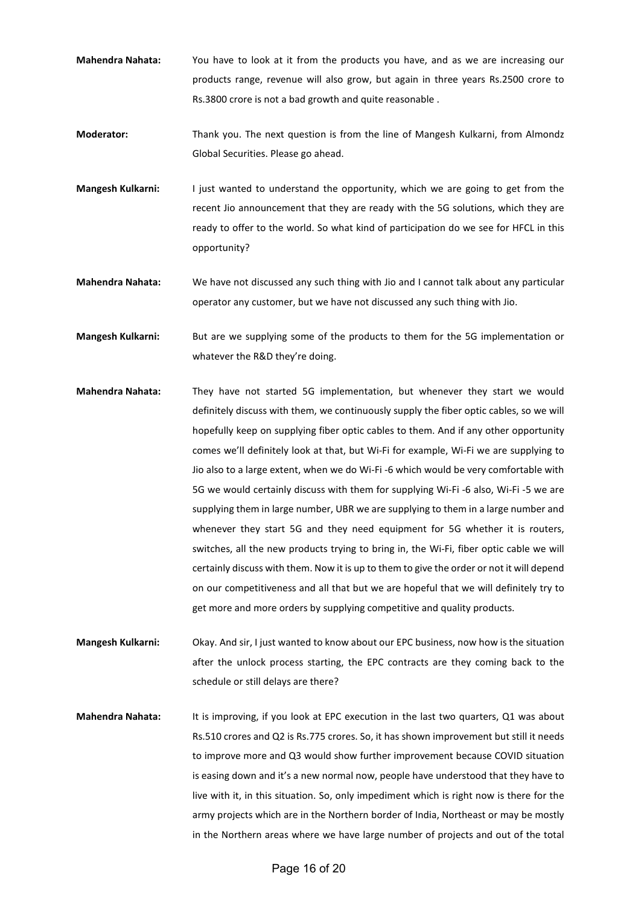- **Mahendra Nahata:** You have to look at it from the products you have, and as we are increasing our products range, revenue will also grow, but again in three years Rs.2500 crore to Rs.3800 crore is not a bad growth and quite reasonable .
- **Moderator:** Thank you. The next question is from the line of Mangesh Kulkarni, from Almondz Global Securities. Please go ahead.
- **Mangesh Kulkarni:** I just wanted to understand the opportunity, which we are going to get from the recent Jio announcement that they are ready with the 5G solutions, which they are ready to offer to the world. So what kind of participation do we see for HFCL in this opportunity?
- **Mahendra Nahata:** We have not discussed any such thing with Jio and I cannot talk about any particular operator any customer, but we have not discussed any such thing with Jio.
- **Mangesh Kulkarni:** But are we supplying some of the products to them for the 5G implementation or whatever the R&D they're doing.
- **Mahendra Nahata:** They have not started 5G implementation, but whenever they start we would definitely discuss with them, we continuously supply the fiber optic cables, so we will hopefully keep on supplying fiber optic cables to them. And if any other opportunity comes we'll definitely look at that, but Wi-Fi for example, Wi-Fi we are supplying to Jio also to a large extent, when we do Wi-Fi -6 which would be very comfortable with 5G we would certainly discuss with them for supplying Wi-Fi -6 also, Wi-Fi -5 we are supplying them in large number, UBR we are supplying to them in a large number and whenever they start 5G and they need equipment for 5G whether it is routers, switches, all the new products trying to bring in, the Wi-Fi, fiber optic cable we will certainly discuss with them. Now it is up to them to give the order or not it will depend on our competitiveness and all that but we are hopeful that we will definitely try to get more and more orders by supplying competitive and quality products.
- **Mangesh Kulkarni:** Okay. And sir, I just wanted to know about our EPC business, now how is the situation after the unlock process starting, the EPC contracts are they coming back to the schedule or still delays are there?
- **Mahendra Nahata:** It is improving, if you look at EPC execution in the last two quarters, Q1 was about Rs.510 crores and Q2 is Rs.775 crores. So, it has shown improvement but still it needs to improve more and Q3 would show further improvement because COVID situation is easing down and it's a new normal now, people have understood that they have to live with it, in this situation. So, only impediment which is right now is there for the army projects which are in the Northern border of India, Northeast or may be mostly in the Northern areas where we have large number of projects and out of the total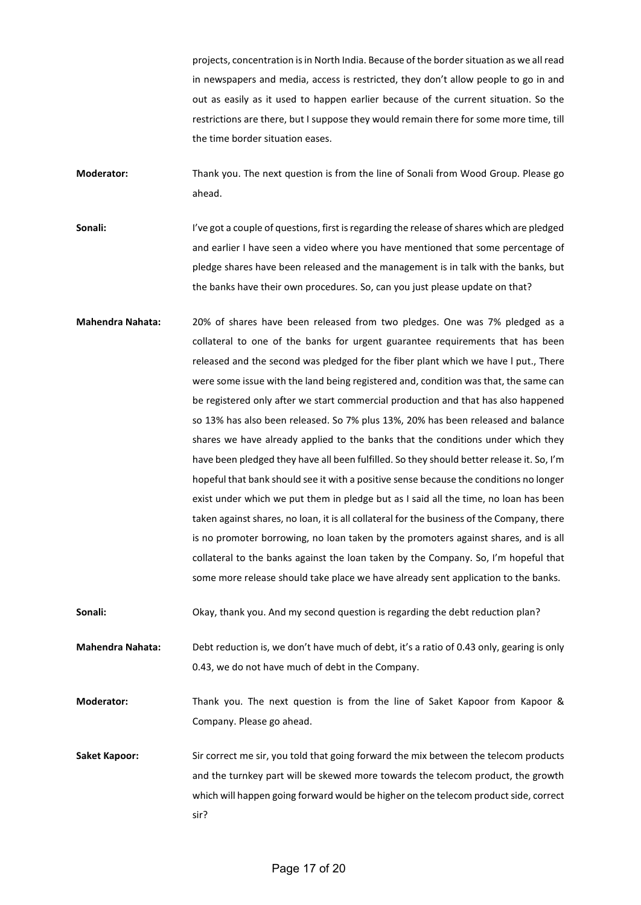projects, concentration is in North India. Because of the border situation as we all read in newspapers and media, access is restricted, they don't allow people to go in and out as easily as it used to happen earlier because of the current situation. So the restrictions are there, but I suppose they would remain there for some more time, till the time border situation eases.

**Moderator:** Thank you. The next question is from the line of Sonali from Wood Group. Please go ahead.

Sonali: I've got a couple of questions, first is regarding the release of shares which are pledged and earlier I have seen a video where you have mentioned that some percentage of pledge shares have been released and the management is in talk with the banks, but the banks have their own procedures. So, can you just please update on that?

**Mahendra Nahata:** 20% of shares have been released from two pledges. One was 7% pledged as a collateral to one of the banks for urgent guarantee requirements that has been released and the second was pledged for the fiber plant which we have l put., There were some issue with the land being registered and, condition was that, the same can be registered only after we start commercial production and that has also happened so 13% has also been released. So 7% plus 13%, 20% has been released and balance shares we have already applied to the banks that the conditions under which they have been pledged they have all been fulfilled. So they should better release it. So, I'm hopeful that bank should see it with a positive sense because the conditions no longer exist under which we put them in pledge but as I said all the time, no loan has been taken against shares, no loan, it is all collateral for the business of the Company, there is no promoter borrowing, no loan taken by the promoters against shares, and is all collateral to the banks against the loan taken by the Company. So, I'm hopeful that some more release should take place we have already sent application to the banks.

**Sonali:** Okay, thank you. And my second question is regarding the debt reduction plan?

**Mahendra Nahata:** Debt reduction is, we don't have much of debt, it's a ratio of 0.43 only, gearing is only 0.43, we do not have much of debt in the Company.

**Moderator:** Thank you. The next question is from the line of Saket Kapoor from Kapoor & Company. Please go ahead.

**Saket Kapoor:** Sir correct me sir, you told that going forward the mix between the telecom products and the turnkey part will be skewed more towards the telecom product, the growth which will happen going forward would be higher on the telecom product side, correct sir?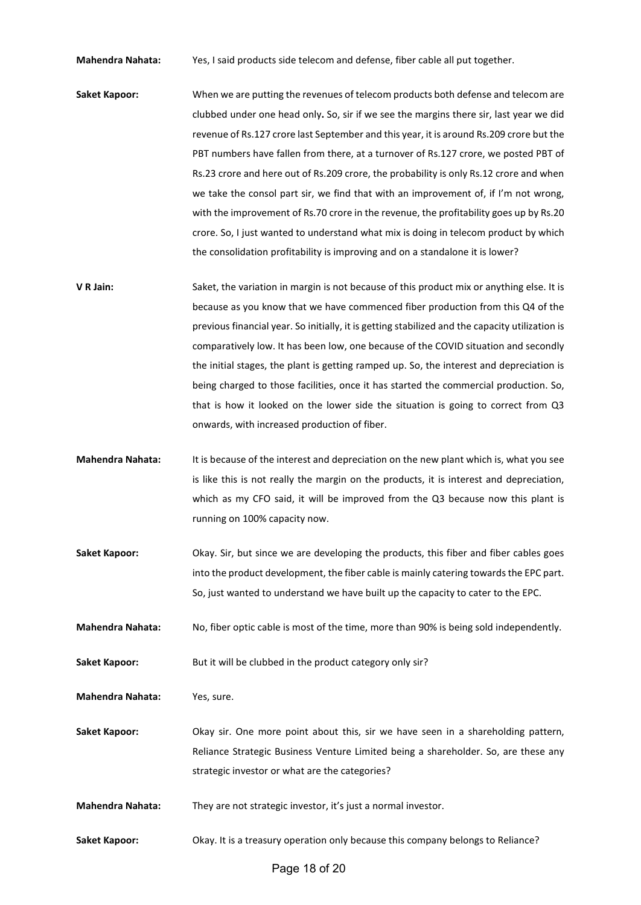**Mahendra Nahata:** Yes, I said products side telecom and defense, fiber cable all put together.

- **Saket Kapoor:** When we are putting the revenues of telecom products both defense and telecom are clubbed under one head only**.** So, sir if we see the margins there sir, last year we did revenue of Rs.127 crore last September and this year, it is around Rs.209 crore but the PBT numbers have fallen from there, at a turnover of Rs.127 crore, we posted PBT of Rs.23 crore and here out of Rs.209 crore, the probability is only Rs.12 crore and when we take the consol part sir, we find that with an improvement of, if I'm not wrong, with the improvement of Rs.70 crore in the revenue, the profitability goes up by Rs.20 crore. So, I just wanted to understand what mix is doing in telecom product by which the consolidation profitability is improving and on a standalone it is lower?
- **V R Jain:** Saket, the variation in margin is not because of this product mix or anything else. It is because as you know that we have commenced fiber production from this Q4 of the previous financial year. So initially, it is getting stabilized and the capacity utilization is comparatively low. It has been low, one because of the COVID situation and secondly the initial stages, the plant is getting ramped up. So, the interest and depreciation is being charged to those facilities, once it has started the commercial production. So, that is how it looked on the lower side the situation is going to correct from Q3 onwards, with increased production of fiber.
- **Mahendra Nahata:** It is because of the interest and depreciation on the new plant which is, what you see is like this is not really the margin on the products, it is interest and depreciation, which as my CFO said, it will be improved from the Q3 because now this plant is running on 100% capacity now.
- **Saket Kapoor:** Okay. Sir, but since we are developing the products, this fiber and fiber cables goes into the product development, the fiber cable is mainly catering towards the EPC part. So, just wanted to understand we have built up the capacity to cater to the EPC.

**Mahendra Nahata:** No, fiber optic cable is most of the time, more than 90% is being sold independently.

Saket Kapoor: But it will be clubbed in the product category only sir?

**Mahendra Nahata:** Yes, sure.

**Saket Kapoor:** Okay sir. One more point about this, sir we have seen in a shareholding pattern, Reliance Strategic Business Venture Limited being a shareholder. So, are these any strategic investor or what are the categories?

**Mahendra Nahata:** They are not strategic investor, it's just a normal investor.

**Saket Kapoor:** Okay. It is a treasury operation only because this company belongs to Reliance?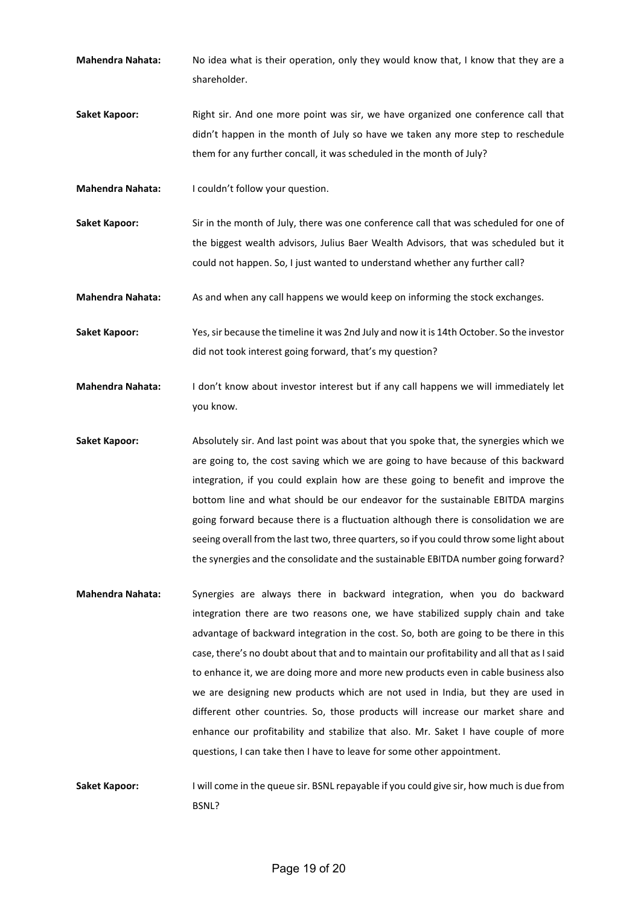- **Mahendra Nahata:** No idea what is their operation, only they would know that, I know that they are a shareholder.
- **Saket Kapoor:** Right sir. And one more point was sir, we have organized one conference call that didn't happen in the month of July so have we taken any more step to reschedule them for any further concall, it was scheduled in the month of July?
- **Mahendra Nahata:** I couldn't follow your question.
- **Saket Kapoor:** Sir in the month of July, there was one conference call that was scheduled for one of the biggest wealth advisors, Julius Baer Wealth Advisors, that was scheduled but it could not happen. So, I just wanted to understand whether any further call?
- **Mahendra Nahata:** As and when any call happens we would keep on informing the stock exchanges.
- **Saket Kapoor:** Yes, sir because the timeline it was 2nd July and now it is 14th October. So the investor did not took interest going forward, that's my question?
- **Mahendra Nahata:** I don't know about investor interest but if any call happens we will immediately let you know.
- Saket Kapoor: Absolutely sir. And last point was about that you spoke that, the synergies which we are going to, the cost saving which we are going to have because of this backward integration, if you could explain how are these going to benefit and improve the bottom line and what should be our endeavor for the sustainable EBITDA margins going forward because there is a fluctuation although there is consolidation we are seeing overall from the last two, three quarters, so if you could throw some light about the synergies and the consolidate and the sustainable EBITDA number going forward?
- **Mahendra Nahata:** Synergies are always there in backward integration, when you do backward integration there are two reasons one, we have stabilized supply chain and take advantage of backward integration in the cost. So, both are going to be there in this case, there's no doubt about that and to maintain our profitability and all that as I said to enhance it, we are doing more and more new products even in cable business also we are designing new products which are not used in India, but they are used in different other countries. So, those products will increase our market share and enhance our profitability and stabilize that also. Mr. Saket I have couple of more questions, I can take then I have to leave for some other appointment.
- **Saket Kapoor:** I will come in the queue sir. BSNL repayable if you could give sir, how much is due from BSNL?